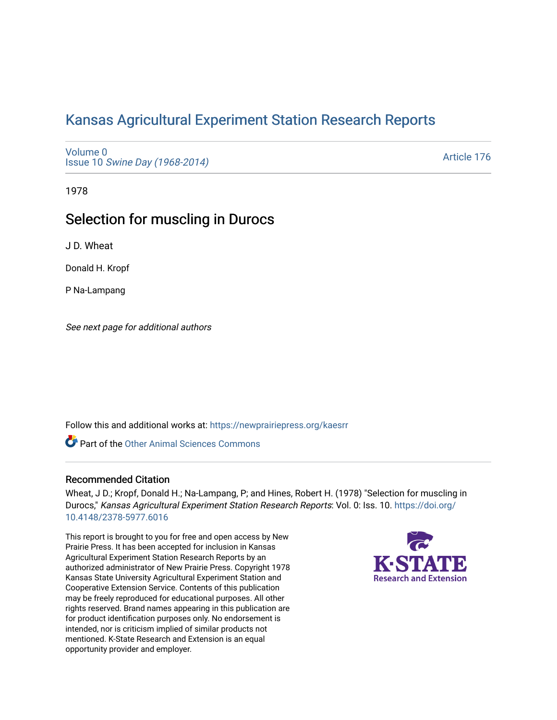# [Kansas Agricultural Experiment Station Research Reports](https://newprairiepress.org/kaesrr)

[Volume 0](https://newprairiepress.org/kaesrr/vol0) Issue 10 [Swine Day \(1968-2014\)](https://newprairiepress.org/kaesrr/vol0/iss10)

[Article 176](https://newprairiepress.org/kaesrr/vol0/iss10/176) 

1978

# Selection for muscling in Durocs

J D. Wheat

Donald H. Kropf

P Na-Lampang

See next page for additional authors

Follow this and additional works at: [https://newprairiepress.org/kaesrr](https://newprairiepress.org/kaesrr?utm_source=newprairiepress.org%2Fkaesrr%2Fvol0%2Fiss10%2F176&utm_medium=PDF&utm_campaign=PDFCoverPages) 

**Part of the [Other Animal Sciences Commons](http://network.bepress.com/hgg/discipline/82?utm_source=newprairiepress.org%2Fkaesrr%2Fvol0%2Fiss10%2F176&utm_medium=PDF&utm_campaign=PDFCoverPages)** 

## Recommended Citation

Wheat, J D.; Kropf, Donald H.; Na-Lampang, P; and Hines, Robert H. (1978) "Selection for muscling in Durocs," Kansas Agricultural Experiment Station Research Reports: Vol. 0: Iss. 10. [https://doi.org/](https://doi.org/10.4148/2378-5977.6016) [10.4148/2378-5977.6016](https://doi.org/10.4148/2378-5977.6016)

This report is brought to you for free and open access by New Prairie Press. It has been accepted for inclusion in Kansas Agricultural Experiment Station Research Reports by an authorized administrator of New Prairie Press. Copyright 1978 Kansas State University Agricultural Experiment Station and Cooperative Extension Service. Contents of this publication may be freely reproduced for educational purposes. All other rights reserved. Brand names appearing in this publication are for product identification purposes only. No endorsement is intended, nor is criticism implied of similar products not mentioned. K-State Research and Extension is an equal opportunity provider and employer.

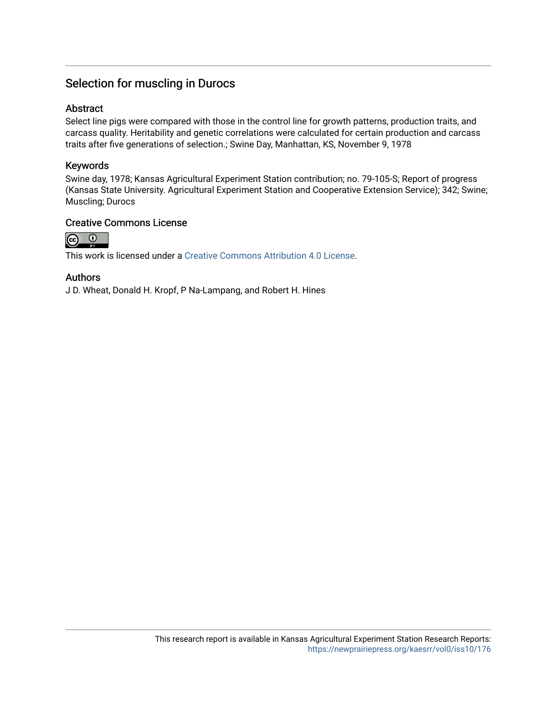# Selection for muscling in Durocs

### Abstract

Select line pigs were compared with those in the control line for growth patterns, production traits, and carcass quality. Heritability and genetic correlations were calculated for certain production and carcass traits after five generations of selection.; Swine Day, Manhattan, KS, November 9, 1978

### Keywords

Swine day, 1978; Kansas Agricultural Experiment Station contribution; no. 79-105-S; Report of progress (Kansas State University. Agricultural Experiment Station and Cooperative Extension Service); 342; Swine; Muscling; Durocs

### Creative Commons License



This work is licensed under a [Creative Commons Attribution 4.0 License](https://creativecommons.org/licenses/by/4.0/).

### Authors

J D. Wheat, Donald H. Kropf, P Na-Lampang, and Robert H. Hines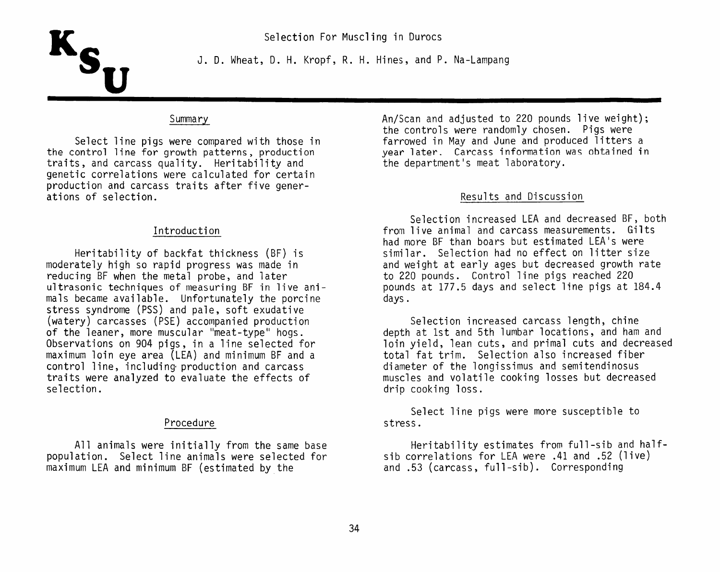

J. D. Wheat, D. H. Kropf, R. H. Hines, and P. Na-Lampang

#### Summary

Select line pigs were compared with those in the control line for growth patterns, production traits, and carcass quality. Heritability and genetic correlations were calculated for certain production and carcass traits after five generations of selection.

#### Introduction

Heritability of backfat thickness (BF) is moderately high so rapid progress was made in reducing BF when the metal probe, and later ultrasonic techniques of measuring BF in live animals became available. Unfortunately the porcine stress syndrome (PSS) and pale, soft exudative (watery) carcasses (PSE) accompanied production of the leaner, more muscular "meat-type" hogs. Observations on 904 pigs, in a line selected for maximum loin eve area (LEA) and minimum BF and a control line, including production and carcass traits were analyzed to evaluate the effects of selection.

#### Procedure

All animals were initially from the same base population. Select line animals were selected for maximum LEA and minimum BF (estimated by the

An/Scan and adjusted to 220 pounds live weight); the controls were randomly chosen. Pigs were farrowed in May and June and produced litters a vear later. Carcass information was obtained in the department's meat laboratory.

#### Results and Discussion

Selection increased LEA and decreased BF, both from live animal and carcass measurements. Gilts had more BF than boars but estimated LEA's were similar. Selection had no effect on litter size and weight at early ages but decreased growth rate to 220 pounds. Control line pigs reached 220 pounds at 177.5 days and select line pigs at 184.4 davs.

Selection increased carcass length, chine depth at 1st and 5th lumbar locations, and ham and loin yield, lean cuts, and primal cuts and decreased total fat trim. Selection also increased fiber diameter of the longissimus and semitendinosus muscles and volatile cooking losses but decreased drip cooking loss.

Select line pigs were more susceptible to stress.

Heritability estimates from full-sib and halfsib correlations for LEA were .41 and .52 (live) and .53 (carcass, full-sib). Corresponding